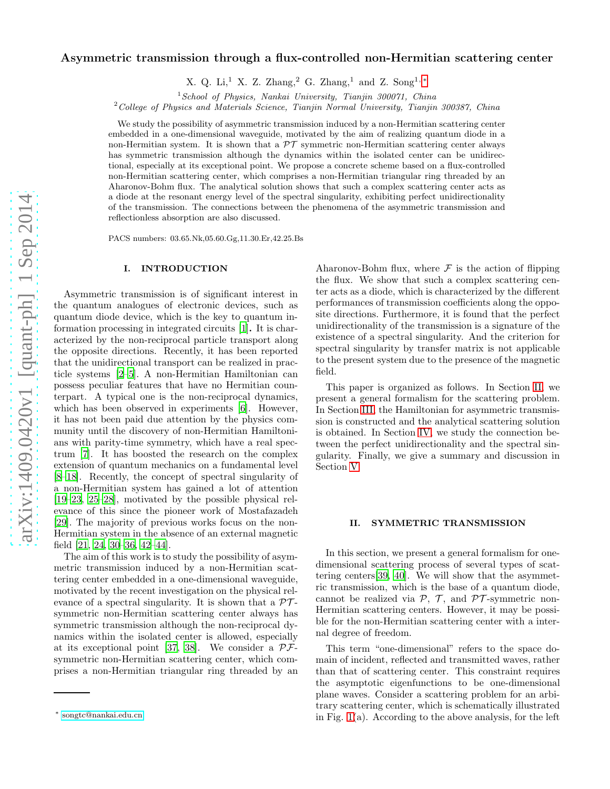# arXiv:1409.0420v1 [quant-ph] 1 Sep 2014 [arXiv:1409.0420v1 \[quant-ph\] 1 Sep 2014](http://arxiv.org/abs/1409.0420v1)

# Asymmetric transmission through a flux-controlled non-Hermitian scattering center

X. Q. Li,<sup>1</sup> X. Z. Zhang,<sup>2</sup> G. Zhang,<sup>1</sup> and Z. Song<sup>1,\*</sup>

 $1$  School of Physics, Nankai University, Tianjin 300071, China

<sup>2</sup>College of Physics and Materials Science, Tianjin Normal University, Tianjin 300387, China

We study the possibility of asymmetric transmission induced by a non-Hermitian scattering center embedded in a one-dimensional waveguide, motivated by the aim of realizing quantum diode in a non-Hermitian system. It is shown that a  $\mathcal{PT}$  symmetric non-Hermitian scattering center always has symmetric transmission although the dynamics within the isolated center can be unidirectional, especially at its exceptional point. We propose a concrete scheme based on a flux-controlled non-Hermitian scattering center, which comprises a non-Hermitian triangular ring threaded by an Aharonov-Bohm flux. The analytical solution shows that such a complex scattering center acts as a diode at the resonant energy level of the spectral singularity, exhibiting perfect unidirectionality of the transmission. The connections between the phenomena of the asymmetric transmission and reflectionless absorption are also discussed.

PACS numbers: 03.65.Nk,05.60.Gg,11.30.Er,42.25.Bs

### I. INTRODUCTION

Asymmetric transmission is of significant interest in the quantum analogues of electronic devices, such as quantum diode device, which is the key to quantum information processing in integrated circuits [\[1](#page-5-0)]. It is characterized by the non-reciprocal particle transport along the opposite directions. Recently, it has been reported that the unidirectional transport can be realized in practicle systems [\[2](#page-5-1)[–5](#page-5-2)]. A non-Hermitian Hamiltonian can possess peculiar features that have no Hermitian counterpart. A typical one is the non-reciprocal dynamics, which has been observed in experiments [\[6](#page-5-3)]. However, it has not been paid due attention by the physics community until the discovery of non-Hermitian Hamiltonians with parity-time symmetry, which have a real spectrum [\[7\]](#page-5-4). It has boosted the research on the complex extension of quantum mechanics on a fundamental level [\[8](#page-5-5)[–18\]](#page-5-6). Recently, the concept of spectral singularity of a non-Hermitian system has gained a lot of attention [\[19](#page-5-7)[–23,](#page-5-8) [25](#page-5-9)[–28\]](#page-5-10), motivated by the possible physical relevance of this since the pioneer work of Mostafazadeh [\[29\]](#page-5-11). The majority of previous works focus on the non-Hermitian system in the absence of an external magnetic field [\[21](#page-5-12), [24,](#page-5-13) [30](#page-5-14)[–36](#page-5-15), [42](#page-5-16)[–44\]](#page-5-17).

The aim of this work is to study the possibility of asymmetric transmission induced by a non-Hermitian scattering center embedded in a one-dimensional waveguide, motivated by the recent investigation on the physical relevance of a spectral singularity. It is shown that a  $\mathcal{PT}$ symmetric non-Hermitian scattering center always has symmetric transmission although the non-reciprocal dynamics within the isolated center is allowed, especially at its exceptional point [\[37,](#page-5-18) [38\]](#page-5-19). We consider a  $\mathcal{PF}$ symmetric non-Hermitian scattering center, which comprises a non-Hermitian triangular ring threaded by an

Aharonov-Bohm flux, where  $\mathcal F$  is the action of flipping the flux. We show that such a complex scattering center acts as a diode, which is characterized by the different performances of transmission coefficients along the opposite directions. Furthermore, it is found that the perfect unidirectionality of the transmission is a signature of the existence of a spectral singularity. And the criterion for spectral singularity by transfer matrix is not applicable to the present system due to the presence of the magnetic field.

This paper is organized as follows. In Section [II,](#page-0-1) we present a general formalism for the scattering problem. In Section [III,](#page-2-0) the Hamiltonian for asymmetric transmission is constructed and the analytical scattering solution is obtained. In Section [IV,](#page-3-0) we study the connection between the perfect unidirectionality and the spectral singularity. Finally, we give a summary and discussion in Section [V.](#page-5-20)

### <span id="page-0-1"></span>II. SYMMETRIC TRANSMISSION

In this section, we present a general formalism for onedimensional scattering process of several types of scattering centers[\[39,](#page-5-21) [40\]](#page-5-22). We will show that the asymmetric transmission, which is the base of a quantum diode, cannot be realized via  $P$ ,  $T$ , and  $PT$ -symmetric non-Hermitian scattering centers. However, it may be possible for the non-Hermitian scattering center with a internal degree of freedom.

This term "one-dimensional" refers to the space domain of incident, reflected and transmitted waves, rather than that of scattering center. This constraint requires the asymptotic eigenfunctions to be one-dimensional plane waves. Consider a scattering problem for an arbitrary scattering center, which is schematically illustrated in Fig. [1\(](#page-1-0)a). According to the above analysis, for the left

<span id="page-0-0"></span><sup>∗</sup> [songtc@nankai.edu.cn](mailto:songtc@nankai.edu.cn)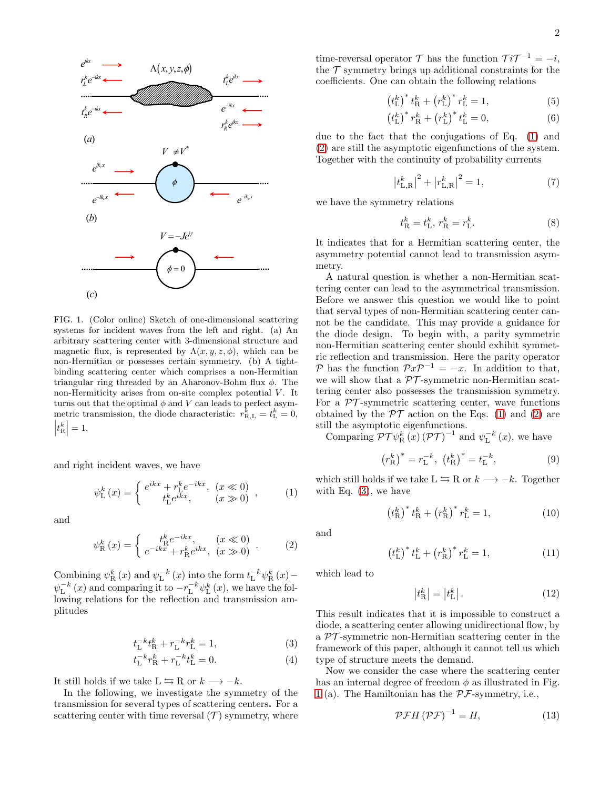

<span id="page-1-0"></span>FIG. 1. (Color online) Sketch of one-dimensional scattering systems for incident waves from the left and right. (a) An arbitrary scattering center with 3-dimensional structure and magnetic flux, is represented by  $\Lambda(x, y, z, \phi)$ , which can be non-Hermitian or possesses certain symmetry. (b) A tightbinding scattering center which comprises a non-Hermitian triangular ring threaded by an Aharonov-Bohm flux  $\phi$ . The non-Hermiticity arises from on-site complex potential  $V$ . It turns out that the optimal  $\phi$  and  $V$  can leads to perfect asymmetric transmission, the diode characteristic:  $r_{\text{R},\text{L}}^k = t_{\text{L}}^k = 0$ ,  $\left|t_{\mathrm{R}}^{k}\right|$  $= 1.$ 

and right incident waves, we have

<span id="page-1-1"></span>
$$
\psi_{\mathcal{L}}^{k}(x) = \begin{cases} e^{ikx} + r_{\mathcal{L}}^{k} e^{-ikx}, & (x \ll 0) \\ t_{\mathcal{L}}^{k} e^{ikx}, & (x \gg 0) \end{cases}, \quad (1)
$$

and

<span id="page-1-2"></span>
$$
\psi_{\rm R}^{k}(x) = \begin{cases} t_{\rm R}^{k} e^{-ikx}, & (x \ll 0) \\ e^{-ikx} + r_{\rm R}^{k} e^{ikx}, & (x \gg 0) \end{cases} .
$$
 (2)

Combining  $\psi_{\mathcal{R}}^{k}(x)$  and  $\psi_{\mathcal{L}}^{-k}(x)$  into the form  $t_{\mathcal{L}}^{-k}\psi_{\mathcal{R}}^{k}(x)$  –  $\psi_{\mathcal{L}}^{-k}(x)$  and comparing it to  $-r_{\mathcal{L}}^{-k}\psi_{\mathcal{L}}^{k}(x)$ , we have the following relations for the reflection and transmission amplitudes

<span id="page-1-3"></span>
$$
t_{\rm L}^{-k} t_{\rm R}^k + r_{\rm L}^{-k} r_{\rm L}^k = 1,\tag{3}
$$

$$
t_{\rm L}^{-k} r_{\rm R}^k + r_{\rm L}^{-k} t_{\rm L}^k = 0.
$$
 (4)

It still holds if we take  $L \leftrightarrows R$  or  $k \longrightarrow -k$ .

In the following, we investigate the symmetry of the transmission for several types of scattering centers. For a scattering center with time reversal  $(\mathcal{T})$  symmetry, where

time-reversal operator  $\mathcal{T}$  has the function  $\mathcal{T}i\mathcal{T}^{-1}=-i$ , the  $\tau$  symmetry brings up additional constraints for the coefficients. One can obtain the following relations

$$
(t_{\rm L}^k)^* t_{\rm R}^k + (r_{\rm L}^k)^* r_{\rm L}^k = 1,
$$
 (5)

$$
(t_{\rm L}^k)^* r_{\rm R}^k + (r_{\rm L}^k)^* t_{\rm L}^k = 0, \qquad (6)
$$

due to the fact that the conjugations of Eq. [\(1\)](#page-1-1) and [\(2\)](#page-1-2) are still the asymptotic eigenfunctions of the system. Together with the continuity of probability currents

$$
\left|t_{\text{L,R}}^k\right|^2 + \left|r_{\text{L,R}}^k\right|^2 = 1,\tag{7}
$$

we have the symmetry relations

$$
t_{\rm R}^k = t_{\rm L}^k, r_{\rm R}^k = r_{\rm L}^k.
$$
 (8)

It indicates that for a Hermitian scattering center, the asymmetry potential cannot lead to transmission asymmetry.

A natural question is whether a non-Hermitian scattering center can lead to the asymmetrical transmission. Before we answer this question we would like to point that serval types of non-Hermitian scattering center cannot be the candidate. This may provide a guidance for the diode design. To begin with, a parity symmetric non-Hermitian scattering center should exhibit symmetric reflection and transmission. Here the parity operator P has the function  $\mathcal{P}x\mathcal{P}^{-1} = -x$ . In addition to that, we will show that a  $\mathcal{PT}$ -symmetric non-Hermitian scattering center also possesses the transmission symmetry. For a  $\mathcal{P}\mathcal{T}$ -symmetric scattering center, wave functions obtained by the  $\mathcal{PT}$  action on the Eqs. [\(1\)](#page-1-1) and [\(2\)](#page-1-2) are still the asymptotic eigenfunctions.

Comparing  $\mathcal{PT}\psi_{\mathcal{R}}^{k}(\mathbf{x}) (\mathcal{PT})^{-1}$  and  $\psi_{\mathcal{L}}^{-k}(x)$ , we have

$$
(r_{\rm R}^k)^* = r_{\rm L}^{-k}, (t_{\rm R}^k)^* = t_{\rm L}^{-k},
$$
 (9)

which still holds if we take  $L \leftrightarrows R$  or  $k \longrightarrow -k$ . Together with Eq. [\(3\)](#page-1-3), we have

$$
(t_{\rm R}^k)^* t_{\rm R}^k + (r_{\rm R}^k)^* r_{\rm L}^k = 1,
$$
 (10)

and

$$
(t_{\rm L}^{k})^* t_{\rm L}^{k} + (r_{\rm R}^{k})^* r_{\rm L}^{k} = 1, \qquad (11)
$$

which lead to

$$
\left|t_{\mathrm{R}}^{k}\right| = \left|t_{\mathrm{L}}^{k}\right|.\tag{12}
$$

This result indicates that it is impossible to construct a diode, a scattering center allowing unidirectional flow, by a  $\mathcal{PT}$ -symmetric non-Hermitian scattering center in the framework of this paper, although it cannot tell us which type of structure meets the demand.

Now we consider the case where the scattering center has an internal degree of freedom  $\phi$  as illustrated in Fig. [1](#page-1-0) (a). The Hamiltonian has the  $\mathcal{PF}\text{-symmetry, i.e.,}$ 

<span id="page-1-4"></span>
$$
\mathcal{PFH}\left(\mathcal{PF}\right)^{-1} = H,\tag{13}
$$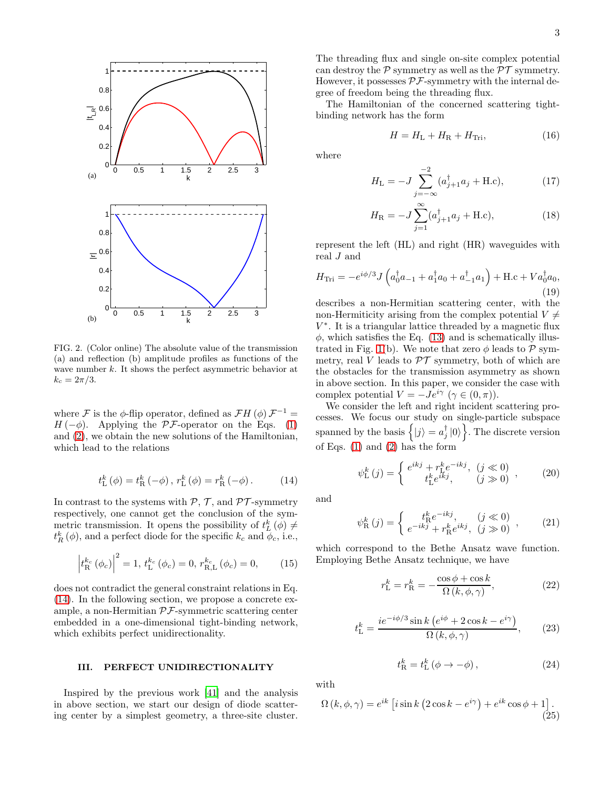

<span id="page-2-3"></span>FIG. 2. (Color online) The absolute value of the transmission (a) and reflection (b) amplitude profiles as functions of the wave number  $k$ . It shows the perfect asymmetric behavior at  $k_c = 2\pi/3$ .

where F is the  $\phi$ -flip operator, defined as  $\mathcal{F}H(\phi)\mathcal{F}^{-1} =$  $H(-\phi)$ . Applying the PF-operator on the Eqs. [\(1\)](#page-1-1) and [\(2\)](#page-1-2), we obtain the new solutions of the Hamiltonian, which lead to the relations

<span id="page-2-1"></span>
$$
t_{\rm L}^{k}(\phi) = t_{\rm R}^{k}(-\phi), r_{\rm L}^{k}(\phi) = r_{\rm R}^{k}(-\phi). \tag{14}
$$

In contrast to the systems with  $P, T$ , and  $PT$ -symmetry respectively, one cannot get the conclusion of the symmetric transmission. It opens the possibility of  $t_L^k(\phi) \neq$  $t_R^k(\phi)$ , and a perfect diode for the specific  $k_c$  and  $\phi_c$ , i.e.,

$$
\left| t_{\rm R}^{k_c} \left( \phi_c \right) \right|^2 = 1, \, t_{\rm L}^{k_c} \left( \phi_c \right) = 0, \, r_{\rm R, L}^{k_c} \left( \phi_c \right) = 0, \tag{15}
$$

does not contradict the general constraint relations in Eq. [\(14\)](#page-2-1). In the following section, we propose a concrete example, a non-Hermitian  $\mathcal{PF}$ -symmetric scattering center embedded in a one-dimensional tight-binding network, which exhibits perfect unidirectionality.

### <span id="page-2-0"></span>III. PERFECT UNIDIRECTIONALITY

Inspired by the previous work [\[41\]](#page-5-23) and the analysis in above section, we start our design of diode scattering center by a simplest geometry, a three-site cluster.

The threading flux and single on-site complex potential can destroy the  $P$  symmetry as well as the  $PT$  symmetry. However, it possesses  $\mathcal{PF}$ -symmetry with the internal degree of freedom being the threading flux.

The Hamiltonian of the concerned scattering tightbinding network has the form

<span id="page-2-4"></span>
$$
H = HL + HR + HTri, \t(16)
$$

where

$$
H_{\rm L} = -J \sum_{j=-\infty}^{-2} (a_{j+1}^{\dagger} a_j + \text{H.c}), \tag{17}
$$

$$
H_{\rm R} = -J \sum_{j=1}^{\infty} (a_{j+1}^{\dagger} a_j + \text{H.c}), \tag{18}
$$

represent the left (HL) and right (HR) waveguides with real J and

$$
H_{\text{Tri}} = -e^{i\phi/3} J \left( a_0^{\dagger} a_{-1} + a_1^{\dagger} a_0 + a_{-1}^{\dagger} a_1 \right) + \text{H.c} + V a_0^{\dagger} a_0,
$$
\n(19)

describes a non-Hermitian scattering center, with the non-Hermiticity arising from the complex potential  $V \neq$  $V^*$ . It is a triangular lattice threaded by a magnetic flux  $\phi$ , which satisfies the Eq. [\(13\)](#page-1-4) and is schematically illus-trated in Fig. [1\(](#page-1-0)b). We note that zero  $\phi$  leads to P symmetry, real V leads to  $\mathcal{PT}$  symmetry, both of which are the obstacles for the transmission asymmetry as shown in above section. In this paper, we consider the case with complex potential  $V = -Je^{i\gamma}$   $(\gamma \in (0, \pi)).$ 

We consider the left and right incident scattering processes. We focus our study on single-particle subspace spanned by the basis  $\left\{ |j\rangle = a_j^{\dagger} |0\rangle \right\}$ . The discrete version of Eqs. [\(1\)](#page-1-1) and [\(2\)](#page-1-2) has the form

$$
\psi_{\mathcal{L}}^{k}(j) = \begin{cases} e^{ikj} + r_{\mathcal{L}}^{k} e^{-ikj}, & (j \ll 0) \\ t_{\mathcal{L}}^{k} e^{ikj}, & (j \gg 0) \end{cases}, \quad (20)
$$

and

$$
\psi_{\rm R}^{k}(j) = \begin{cases} t_{\rm R}^{k} e^{-ikj}, & (j \ll 0) \\ e^{-ikj} + r_{\rm R}^{k} e^{ikj}, & (j \gg 0) \end{cases},
$$
 (21)

which correspond to the Bethe Ansatz wave function. Employing Bethe Ansatz technique, we have

<span id="page-2-2"></span>
$$
r_{\rm L}^k = r_{\rm R}^k = -\frac{\cos\phi + \cos k}{\Omega(k, \phi, \gamma)},\tag{22}
$$

$$
t_{\rm L}^k = \frac{ie^{-i\phi/3}\sin k\left(e^{i\phi} + 2\cos k - e^{i\gamma}\right)}{\Omega\left(k, \phi, \gamma\right)},\qquad(23)
$$

$$
t_{\rm R}^k = t_{\rm L}^k \left( \phi \to -\phi \right), \tag{24}
$$

with

$$
\Omega(k, \phi, \gamma) = e^{ik} \left[ i \sin k \left( 2 \cos k - e^{i\gamma} \right) + e^{ik} \cos \phi + 1 \right].
$$
\n(25)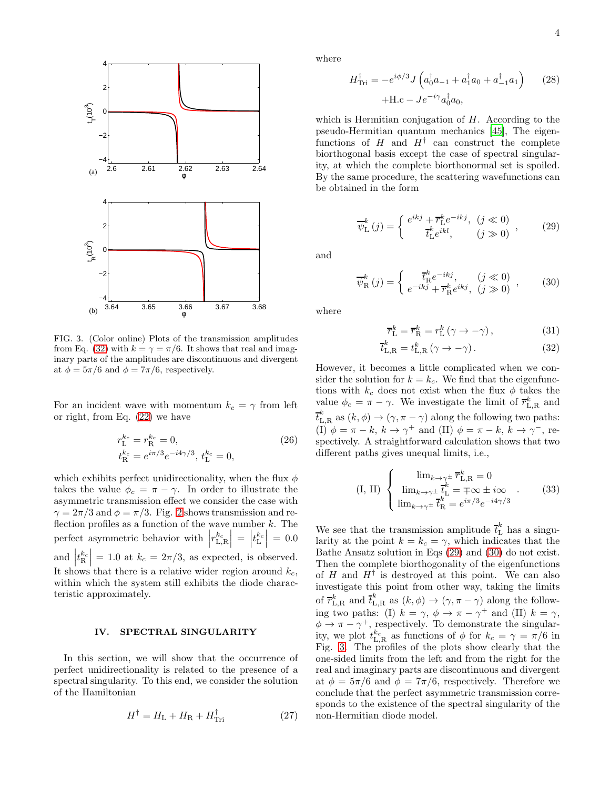

<span id="page-3-4"></span>FIG. 3. (Color online) Plots of the transmission amplitudes from Eq. [\(32\)](#page-3-1) with  $k = \gamma = \pi/6$ . It shows that real and imaginary parts of the amplitudes are discontinuous and divergent at  $\phi = 5\pi/6$  and  $\phi = 7\pi/6$ , respectively.

For an incident wave with momentum  $k_c = \gamma$  from left or right, from Eq. [\(22\)](#page-2-2) we have

<span id="page-3-5"></span>
$$
r_{\rm L}^{k_c} = r_{\rm R}^{k_c} = 0,
$$
\n
$$
t_{\rm R}^{k_c} = e^{i\pi/3} e^{-i4\gamma/3}, t_{\rm L}^{k_c} = 0,
$$
\n(26)

which exhibits perfect unidirectionality, when the flux  $\phi$ takes the value  $\phi_c = \pi - \gamma$ . In order to illustrate the asymmetric transmission effect we consider the case with  $\gamma = 2\pi/3$  $\gamma = 2\pi/3$  $\gamma = 2\pi/3$  and  $\phi = \pi/3$ . Fig. 2 shows transmission and reflection profiles as a function of the wave number  $k$ . The perfect asymmetric behavior with  $\left| r_{\text{L,R}}^{k_c} \right| = \left| t_{\text{L}}^{k_c} \right| = 0.0$  $\vert \begin{array}{c} \mathbf{r} \cdot \mathbf{r} \cdot \mathbf{r} \end{array} \vert$ and  $\left| t_{\mathrm{R}}^{k_c} \right| = 1.0$  at  $k_c = 2\pi/3$ , as expected, is observed. It shows that there is a relative wider region around  $k_c$ , within which the system still exhibits the diode characteristic approximately.

### <span id="page-3-0"></span>IV. SPECTRAL SINGULARITY

In this section, we will show that the occurrence of perfect unidirectionality is related to the presence of a spectral singularity. To this end, we consider the solution of the Hamiltonian

$$
H^{\dagger} = H_{\rm L} + H_{\rm R} + H_{\rm Tri}^{\dagger} \tag{27}
$$

where

$$
H_{\text{Tri}}^{\dagger} = -e^{i\phi/3} J \left( a_0^{\dagger} a_{-1} + a_1^{\dagger} a_0 + a_{-1}^{\dagger} a_1 \right) \tag{28}
$$

$$
+ \text{H.c} - J e^{-i\gamma} a_0^{\dagger} a_0,
$$

which is Hermitian conjugation of  $H$ . According to the pseudo-Hermitian quantum mechanics [\[45](#page-5-24)], The eigenfunctions of  $H$  and  $H^{\dagger}$  can construct the complete biorthogonal basis except the case of spectral singularity, at which the complete biorthonormal set is spoiled. By the same procedure, the scattering wavefunctions can be obtained in the form

<span id="page-3-2"></span>
$$
\overline{\psi}_{\mathcal{L}}^{k}(j) = \begin{cases} e^{ikj} + \overline{r}_{\mathcal{L}}^{k} e^{-ikj}, & (j \ll 0) \\ \overline{t}_{\mathcal{L}}^{k} e^{ikl}, & (j \gg 0) \end{cases}, \quad (29)
$$

and

<span id="page-3-3"></span>
$$
\overline{\psi}_{\mathcal{R}}^{k}(j) = \begin{cases} \overline{t}_{\mathcal{R}}^{k} e^{-ikj}, & (j \ll 0) \\ e^{-ikj} + \overline{r}_{\mathcal{R}}^{k} e^{ikj}, & (j \gg 0) \end{cases}, \quad (30)
$$

where

<span id="page-3-1"></span>
$$
\overline{r}_{\rm L}^k = \overline{r}_{\rm R}^k = r_{\rm L}^k \left( \gamma \to -\gamma \right),\tag{31}
$$

$$
\overline{t}_{\text{L,R}}^k = t_{\text{L,R}}^k \left( \gamma \to -\gamma \right). \tag{32}
$$

However, it becomes a little complicated when we consider the solution for  $k = k_c$ . We find that the eigenfunctions with  $k_c$  does not exist when the flux  $\phi$  takes the value  $\phi_c = \pi - \gamma$ . We investigate the limit of  $\overline{r}_{L,R}^k$  and  $\overline{t}_{\rm L,R}^k$  as  $(k, \phi) \rightarrow (\gamma, \pi - \gamma)$  along the following two paths: (I)  $\phi = \pi - k$ ,  $k \to \gamma^+$  and (II)  $\phi = \pi - k$ ,  $k \to \gamma^-$ , respectively. A straightforward calculation shows that two different paths gives unequal limits, i.e.,

$$
\text{(I, II)} \begin{cases} \lim_{k \to \gamma^{\pm}} \overline{r}_{\text{L,R}}^{k} = 0\\ \lim_{k \to \gamma^{\pm}} \overline{t}_{\text{L}}^{k} = \mp \infty \pm i \infty\\ \lim_{k \to \gamma^{\pm}} \overline{t}_{\text{R}}^{k} = e^{i\pi/3} e^{-i4\gamma/3} \end{cases} \tag{33}
$$

We see that the transmission amplitude  $\bar{t}_{\text{L}}^k$  has a singularity at the point  $k = k_c = \gamma$ , which indicates that the Bathe Ansatz solution in Eqs [\(29\)](#page-3-2) and [\(30\)](#page-3-3) do not exist. Then the complete biorthogonality of the eigenfunctions of  $H$  and  $H^{\dagger}$  is destroyed at this point. We can also investigate this point from other way, taking the limits of  $\overline{r}_{L,R}^k$  and  $\overline{t}_{L,R}^k$  as  $(k,\phi) \to (\gamma, \pi - \gamma)$  along the following two paths: (I)  $k = \gamma$ ,  $\phi \to \pi - \gamma^+$  and (II)  $k = \gamma$ ,  $\phi \to \pi - \gamma^+$ , respectively. To demonstrate the singularity, we plot  $t_{\text{L,R}}^{k_c}$  as functions of  $\phi$  for  $k_c = \gamma = \pi/6$  in Fig. [3.](#page-3-4) The profiles of the plots show clearly that the one-sided limits from the left and from the right for the real and imaginary parts are discontinuous and divergent at  $\phi = 5\pi/6$  and  $\phi = 7\pi/6$ , respectively. Therefore we conclude that the perfect asymmetric transmission corresponds to the existence of the spectral singularity of the non-Hermitian diode model.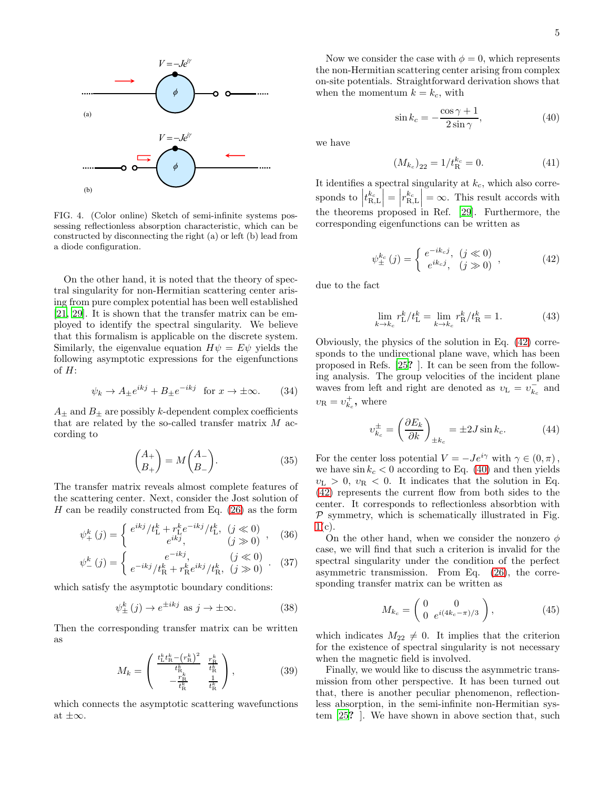

<span id="page-4-2"></span>FIG. 4. (Color online) Sketch of semi-infinite systems possessing reflectionless absorption characteristic, which can be constructed by disconnecting the right (a) or left (b) lead from a diode configuration.

On the other hand, it is noted that the theory of spectral singularity for non-Hermitian scattering center arising from pure complex potential has been well established [\[21,](#page-5-12) [29\]](#page-5-11). It is shown that the transfer matrix can be employed to identify the spectral singularity. We believe that this formalism is applicable on the discrete system. Similarly, the eigenvalue equation  $H\psi = E\psi$  yields the following asymptotic expressions for the eigenfunctions of  $H$ :

$$
\psi_k \to A_{\pm} e^{ikj} + B_{\pm} e^{-ikj} \text{ for } x \to \pm \infty. \qquad (34)
$$

 $A_{\pm}$  and  $B_{\pm}$  are possibly k-dependent complex coefficients that are related by the so-called transfer matrix  $M$  according to

$$
\begin{pmatrix} A_+ \\ B_+ \end{pmatrix} = M \begin{pmatrix} A_- \\ B_- \end{pmatrix}.
$$
 (35)

The transfer matrix reveals almost complete features of the scattering center. Next, consider the Jost solution of  $H$  can be readily constructed from Eq. [\(26\)](#page-3-5) as the form

$$
\psi_{+}^{k}(j) = \begin{cases} e^{ikj}/t_{\rm L}^{k} + r_{\rm L}^{k}e^{-ikj}/t_{\rm L}^{k}, & (j \ll 0) \\ e^{ikj}, & (j \gg 0) \end{cases}, \quad (36)
$$

$$
\psi_{-}^{k}(j) = \begin{cases} e^{-ikj}, & (j \ll 0) \\ e^{-ikj}/t_{\mathrm{R}}^{k} + r_{\mathrm{R}}^{k} e^{ikj}/t_{\mathrm{R}}^{k}, & (j \gg 0) \end{cases} . \quad (37)
$$

which satisfy the asymptotic boundary conditions:

$$
\psi_{\pm}^{k}(j) \to e^{\pm ikj} \text{ as } j \to \pm \infty. \tag{38}
$$

Then the corresponding transfer matrix can be written as

$$
M_k = \begin{pmatrix} \frac{t_{\rm L}^k t_{\rm R}^k - \left(r_{\rm R}^k\right)^2}{t_{\rm R}^k} & \frac{r_{\rm R}^k}{t_{\rm R}^k} \\ -\frac{r_{\rm R}^k}{t_{\rm R}^k} & \frac{1}{t_{\rm R}^k} \end{pmatrix},\tag{39}
$$

which connects the asymptotic scattering wavefunctions at  $\pm\infty$ .

Now we consider the case with  $\phi = 0$ , which represents the non-Hermitian scattering center arising from complex on-site potentials. Straightforward derivation shows that when the momentum  $k = k_c$ , with

<span id="page-4-1"></span>
$$
\sin k_c = -\frac{\cos \gamma + 1}{2\sin \gamma},\tag{40}
$$

we have

$$
(M_{k_c})_{22} = 1/t_{\rm R}^{k_c} = 0.
$$
 (41)

It identifies a spectral singularity at  $k_c$ , which also corresponds to  $\left| t_{\mathrm{R,L}}^{k_c} \right| = \left| r_{\mathrm{R,L}}^{k_c} \right| = \infty$ . This result accords with the theorems proposed in Ref. [\[29](#page-5-11)]. Furthermore, the corresponding eigenfunctions can be written as

<span id="page-4-0"></span>
$$
\psi_{\pm}^{k_c}(j) = \begin{cases} e^{-ik_c j}, & (j \ll 0) \\ e^{ik_c j}, & (j \gg 0) \end{cases},
$$
\n(42)

due to the fact

$$
\lim_{k \to k_c} r_{\rm L}^k / t_{\rm L}^k = \lim_{k \to k_c} r_{\rm R}^k / t_{\rm R}^k = 1.
$$
 (43)

Obviously, the physics of the solution in Eq. [\(42\)](#page-4-0) corresponds to the undirectional plane wave, which has been proposed in Refs. [\[25](#page-5-9)? ]. It can be seen from the following analysis. The group velocities of the incident plane waves from left and right are denoted as  $v_L = v_{k_c}^-$  and  $v_{\rm R} = v_{k_c}^+$ , where

$$
v_{k_c}^{\pm} = \left(\frac{\partial E_k}{\partial k}\right)_{\pm k_c} = \pm 2J \sin k_c.
$$
 (44)

For the center loss potential  $V = -Je^{i\gamma}$  with  $\gamma \in (0, \pi)$ , we have  $\sin k_c < 0$  according to Eq. [\(40\)](#page-4-1) and then yields  $v<sub>L</sub> > 0$ ,  $v<sub>R</sub> < 0$ . It indicates that the solution in Eq. [\(42\)](#page-4-0) represents the current flow from both sides to the center. It corresponds to reflectionless absorbtion with  $P$  symmetry, which is schematically illustrated in Fig.  $1(c)$  $1(c)$ .

On the other hand, when we consider the nonzero  $\phi$ case, we will find that such a criterion is invalid for the spectral singularity under the condition of the perfect asymmetric transmission. From Eq. [\(26\)](#page-3-5), the corresponding transfer matrix can be written as

$$
M_{k_c} = \begin{pmatrix} 0 & 0 \\ 0 & e^{i(4k_c - \pi)/3} \end{pmatrix},
$$
 (45)

which indicates  $M_{22} \neq 0$ . It implies that the criterion for the existence of spectral singularity is not necessary when the magnetic field is involved.

Finally, we would like to discuss the asymmetric transmission from other perspective. It has been turned out that, there is another peculiar phenomenon, reflectionless absorption, in the semi-infinite non-Hermitian system [\[25](#page-5-9)? ]. We have shown in above section that, such